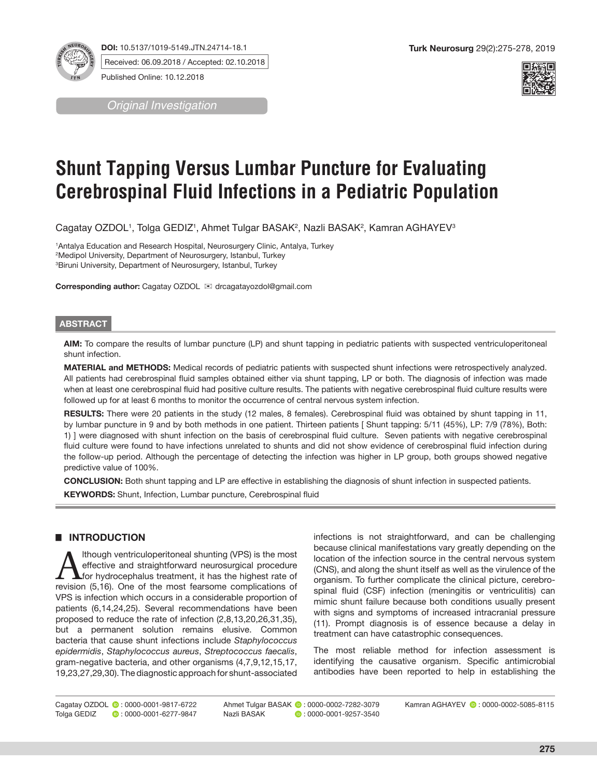**DOI:** 10.5137/1019-5149.JTN.24714-18.1

Received: 06.09.2018 / Accepted: 02.10.2018

Published Online: 10.12.2018

*Original Investigation*



# **Shunt Tapping Versus Lumbar Puncture for Evaluating Cerebrospinal Fluid Infections in a Pediatric Population**

Cagatay OZDOL', Tolga GEDIZ', Ahmet Tulgar BASAK<del>'</del>, Nazli BASAK<del>'</del>, Kamran AGHAYEV<sup>з</sup>

1 Antalya Education and Research Hospital, Neurosurgery Clinic, Antalya, Turkey 2 Medipol University, Department of Neurosurgery, Istanbul, Turkey 3 Biruni University, Department of Neurosurgery, Istanbul, Turkey

**Corresponding author:** Cagatay OZDOL ⊠ drcagatayozdol@gmail.com

### **ABSTRACT**

**AIM:** To compare the results of lumbar puncture (LP) and shunt tapping in pediatric patients with suspected ventriculoperitoneal shunt infection.

**MATERIAL and METHODS:** Medical records of pediatric patients with suspected shunt infections were retrospectively analyzed. All patients had cerebrospinal fluid samples obtained either via shunt tapping, LP or both. The diagnosis of infection was made when at least one cerebrospinal fluid had positive culture results. The patients with negative cerebrospinal fluid culture results were followed up for at least 6 months to monitor the occurrence of central nervous system infection.

**RESULTS:** There were 20 patients in the study (12 males, 8 females). Cerebrospinal fluid was obtained by shunt tapping in 11, by lumbar puncture in 9 and by both methods in one patient. Thirteen patients [ Shunt tapping: 5/11 (45%), LP: 7/9 (78%), Both: 1) ] were diagnosed with shunt infection on the basis of cerebrospinal fluid culture. Seven patients with negative cerebrospinal fluid culture were found to have infections unrelated to shunts and did not show evidence of cerebrospinal fluid infection during the follow-up period. Although the percentage of detecting the infection was higher in LP group, both groups showed negative predictive value of 100%.

**CONCLUSION:** Both shunt tapping and LP are effective in establishing the diagnosis of shunt infection in suspected patients.

**KEYWORDS:** Shunt, Infection, Lumbar puncture, Cerebrospinal fluid

## █ **INTRODUCTION**

Although ventriculoperitoneal shunting (VPS) is the most<br>effective and straightforward neurosurgical procedure<br>for hydrocephalus treatment, it has the highest rate of<br>revision (5.16). One of the most fearsome complications effective and straightforward neurosurgical procedure revision (5,16). One of the most fearsome complications of VPS is infection which occurs in a considerable proportion of patients (6,14,24,25). Several recommendations have been proposed to reduce the rate of infection (2,8,13,20,26,31,35), but a permanent solution remains elusive. Common bacteria that cause shunt infections include *Staphylococcus epidermidis*, *Staphylococcus aureus*, *Streptococcus faecalis*, gram-negative bacteria, and other organisms (4,7,9,12,15,17, 19,23,27,29,30). The diagnostic approach for shunt-associated

infections is not straightforward, and can be challenging because clinical manifestations vary greatly depending on the location of the infection source in the central nervous system (CNS), and along the shunt itself as well as the virulence of the organism. To further complicate the clinical picture, cerebrospinal fluid (CSF) infection (meningitis or ventriculitis) can mimic shunt failure because both conditions usually present with signs and symptoms of increased intracranial pressure (11). Prompt diagnosis is of essence because a delay in treatment can have catastrophic consequences.

The most reliable method for infection assessment is identifying the causative organism. Specific antimicrobial antibodies have been reported to help in establishing the

Cagatay OZDOL **0**: 0000-0001-9817-6722<br>Tolga GEDIZ **0**: 0000-0001-6277-9847  $\bullet$  : 0000-0001-6277-9847

Ahmet Tulgar BASAK **:** 0000-0002-7282-3079<br>Nazli BASAK **:** 0:0000-0001-9257-3540  $\bullet$  : 0000-0001-9257-3540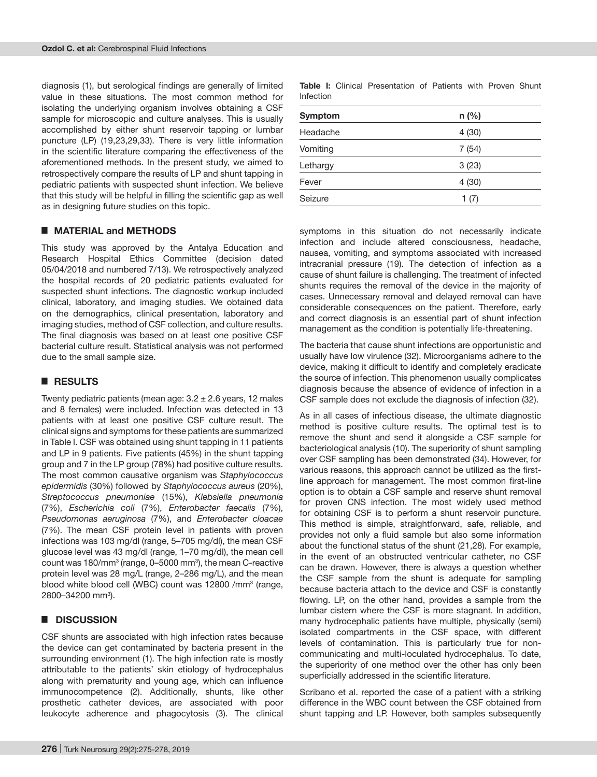diagnosis (1), but serological findings are generally of limited value in these situations. The most common method for isolating the underlying organism involves obtaining a CSF sample for microscopic and culture analyses. This is usually accomplished by either shunt reservoir tapping or lumbar puncture (LP) (19,23,29,33). There is very little information in the scientific literature comparing the effectiveness of the aforementioned methods. In the present study, we aimed to retrospectively compare the results of LP and shunt tapping in pediatric patients with suspected shunt infection. We believe that this study will be helpful in filling the scientific gap as well as in designing future studies on this topic.

## █ **MATERIAL and METHODS**

This study was approved by the Antalya Education and Research Hospital Ethics Committee (decision dated 05/04/2018 and numbered 7/13). We retrospectively analyzed the hospital records of 20 pediatric patients evaluated for suspected shunt infections. The diagnostic workup included clinical, laboratory, and imaging studies. We obtained data on the demographics, clinical presentation, laboratory and imaging studies, method of CSF collection, and culture results. The final diagnosis was based on at least one positive CSF bacterial culture result. Statistical analysis was not performed due to the small sample size.

## █ **RESULTS**

Twenty pediatric patients (mean age:  $3.2 \pm 2.6$  years, 12 males and 8 females) were included. Infection was detected in 13 patients with at least one positive CSF culture result. The clinical signs and symptoms for these patients are summarized in Table I. CSF was obtained using shunt tapping in 11 patients and LP in 9 patients. Five patients (45%) in the shunt tapping group and 7 in the LP group (78%) had positive culture results. The most common causative organism was *Staphylococcus epidermidis* (30%) followed by *Staphylococcus aureus* (20%), *Streptococcus pneumoniae* (15%), *Klebsiella pneumonia* (7%), *Escherichia coli* (7%), *Enterobacter faecalis* (7%), *Pseudomonas aeruginosa* (7%), and *Enterobacter cloacae* (7%). The mean CSF protein level in patients with proven infections was 103 mg/dl (range, 5–705 mg/dl), the mean CSF glucose level was 43 mg/dl (range, 1–70 mg/dl), the mean cell count was 180/mm<sup>3</sup> (range, 0–5000 mm<sup>3</sup>), the mean C-reactive protein level was 28 mg/L (range, 2–286 mg/L), and the mean blood white blood cell (WBC) count was 12800 /mm<sup>3</sup> (range, 2800–34200 mm<sup>3</sup>).

### █ **DISCUSSION**

CSF shunts are associated with high infection rates because the device can get contaminated by bacteria present in the surrounding environment (1). The high infection rate is mostly attributable to the patients' skin etiology of hydrocephalus along with prematurity and young age, which can influence immunocompetence (2). Additionally, shunts, like other prosthetic catheter devices, are associated with poor leukocyte adherence and phagocytosis (3). The clinical

**Table I:** Clinical Presentation of Patients with Proven Shunt Infection

| Symptom  | $n$ (%) |
|----------|---------|
| Headache | 4(30)   |
| Vomiting | 7(54)   |
| Lethargy | 3(23)   |
| Fever    | 4(30)   |
| Seizure  | 1(7)    |

symptoms in this situation do not necessarily indicate infection and include altered consciousness, headache, nausea, vomiting, and symptoms associated with increased intracranial pressure (19). The detection of infection as a cause of shunt failure is challenging. The treatment of infected shunts requires the removal of the device in the majority of cases. Unnecessary removal and delayed removal can have considerable consequences on the patient. Therefore, early and correct diagnosis is an essential part of shunt infection management as the condition is potentially life-threatening.

The bacteria that cause shunt infections are opportunistic and usually have low virulence (32). Microorganisms adhere to the device, making it difficult to identify and completely eradicate the source of infection. This phenomenon usually complicates diagnosis because the absence of evidence of infection in a CSF sample does not exclude the diagnosis of infection (32).

As in all cases of infectious disease, the ultimate diagnostic method is positive culture results. The optimal test is to remove the shunt and send it alongside a CSF sample for bacteriological analysis (10). The superiority of shunt sampling over CSF sampling has been demonstrated (34). However, for various reasons, this approach cannot be utilized as the firstline approach for management. The most common first-line option is to obtain a CSF sample and reserve shunt removal for proven CNS infection. The most widely used method for obtaining CSF is to perform a shunt reservoir puncture. This method is simple, straightforward, safe, reliable, and provides not only a fluid sample but also some information about the functional status of the shunt (21,28). For example, in the event of an obstructed ventricular catheter, no CSF can be drawn. However, there is always a question whether the CSF sample from the shunt is adequate for sampling because bacteria attach to the device and CSF is constantly flowing. LP, on the other hand, provides a sample from the lumbar cistern where the CSF is more stagnant. In addition, many hydrocephalic patients have multiple, physically (semi) isolated compartments in the CSF space, with different levels of contamination. This is particularly true for noncommunicating and multi-loculated hydrocephalus. To date, the superiority of one method over the other has only been superficially addressed in the scientific literature.

Scribano et al. reported the case of a patient with a striking difference in the WBC count between the CSF obtained from shunt tapping and LP. However, both samples subsequently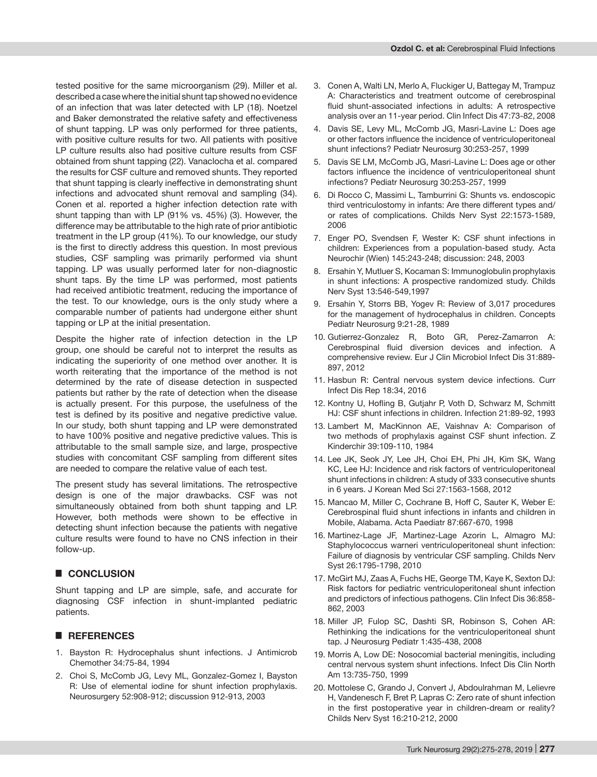tested positive for the same microorganism (29). Miller et al. described a case where the initial shunt tap showed no evidence of an infection that was later detected with LP (18). Noetzel and Baker demonstrated the relative safety and effectiveness of shunt tapping. LP was only performed for three patients, with positive culture results for two. All patients with positive LP culture results also had positive culture results from CSF obtained from shunt tapping (22). Vanaclocha et al. compared the results for CSF culture and removed shunts. They reported that shunt tapping is clearly ineffective in demonstrating shunt infections and advocated shunt removal and sampling (34). Conen et al. reported a higher infection detection rate with shunt tapping than with LP (91% vs. 45%) (3). However, the difference may be attributable to the high rate of prior antibiotic treatment in the LP group (41%). To our knowledge, our study is the first to directly address this question. In most previous studies, CSF sampling was primarily performed via shunt tapping. LP was usually performed later for non-diagnostic shunt taps. By the time LP was performed, most patients had received antibiotic treatment, reducing the importance of the test. To our knowledge, ours is the only study where a comparable number of patients had undergone either shunt tapping or LP at the initial presentation.

Despite the higher rate of infection detection in the LP group, one should be careful not to interpret the results as indicating the superiority of one method over another. It is worth reiterating that the importance of the method is not determined by the rate of disease detection in suspected patients but rather by the rate of detection when the disease is actually present. For this purpose, the usefulness of the test is defined by its positive and negative predictive value. In our study, both shunt tapping and LP were demonstrated to have 100% positive and negative predictive values. This is attributable to the small sample size, and large, prospective studies with concomitant CSF sampling from different sites are needed to compare the relative value of each test.

The present study has several limitations. The retrospective design is one of the major drawbacks. CSF was not simultaneously obtained from both shunt tapping and LP. However, both methods were shown to be effective in detecting shunt infection because the patients with negative culture results were found to have no CNS infection in their follow-up.

## █ **CONCLUSION**

Shunt tapping and LP are simple, safe, and accurate for diagnosing CSF infection in shunt-implanted pediatric patients.

#### █ **REFERENCES**

- 1. Bayston R: Hydrocephalus shunt infections. J Antimicrob Chemother 34:75-84, 1994
- 2. Choi S, McComb JG, Levy ML, Gonzalez-Gomez I, Bayston R: Use of elemental iodine for shunt infection prophylaxis. Neurosurgery 52:908-912; discussion 912-913, 2003
- 3. Conen A, Walti LN, Merlo A, Fluckiger U, Battegay M, Trampuz A: Characteristics and treatment outcome of cerebrospinal fluid shunt-associated infections in adults: A retrospective analysis over an 11-year period. Clin Infect Dis 47:73-82, 2008
- 4. Davis SE, Levy ML, McComb JG, Masri-Lavine L: Does age or other factors influence the incidence of ventriculoperitoneal shunt infections? Pediatr Neurosurg 30:253-257, 1999
- 5. Davis SE LM, McComb JG, Masri-Lavine L: Does age or other factors influence the incidence of ventriculoperitoneal shunt infections? Pediatr Neurosurg 30:253-257, 1999
- 6. Di Rocco C, Massimi L, Tamburrini G: Shunts vs. endoscopic third ventriculostomy in infants: Are there different types and/ or rates of complications. Childs Nerv Syst 22:1573-1589, 2006
- 7. Enger PO, Svendsen F, Wester K: CSF shunt infections in children: Experiences from a population-based study. Acta Neurochir (Wien) 145:243-248; discussion: 248, 2003
- 8. Ersahin Y, Mutluer S, Kocaman S: Immunoglobulin prophylaxis in shunt infections: A prospective randomized study. Childs Nerv Syst 13:546-549,1997
- 9. Ersahin Y, Storrs BB, Yogev R: Review of 3,017 procedures for the management of hydrocephalus in children. Concepts Pediatr Neurosurg 9:21-28, 1989
- 10. Gutierrez-Gonzalez R, Boto GR, Perez-Zamarron A: Cerebrospinal fluid diversion devices and infection. A comprehensive review. Eur J Clin Microbiol Infect Dis 31:889- 897, 2012
- 11. Hasbun R: Central nervous system device infections. Curr Infect Dis Rep 18:34, 2016
- 12. Kontny U, Hofling B, Gutjahr P, Voth D, Schwarz M, Schmitt HJ: CSF shunt infections in children. Infection 21:89-92, 1993
- 13. Lambert M, MacKinnon AE, Vaishnav A: Comparison of two methods of prophylaxis against CSF shunt infection. Z Kinderchir 39:109-110, 1984
- 14. Lee JK, Seok JY, Lee JH, Choi EH, Phi JH, Kim SK, Wang KC, Lee HJ: Incidence and risk factors of ventriculoperitoneal shunt infections in children: A study of 333 consecutive shunts in 6 years. J Korean Med Sci 27:1563-1568, 2012
- 15. Mancao M, Miller C, Cochrane B, Hoff C, Sauter K, Weber E: Cerebrospinal fluid shunt infections in infants and children in Mobile, Alabama. Acta Paediatr 87:667-670, 1998
- 16. Martinez-Lage JF, Martinez-Lage Azorin L, Almagro MJ: Staphylococcus warneri ventriculoperitoneal shunt infection: Failure of diagnosis by ventricular CSF sampling. Childs Nerv Syst 26:1795-1798, 2010
- 17. McGirt MJ, Zaas A, Fuchs HE, George TM, Kaye K, Sexton DJ: Risk factors for pediatric ventriculoperitoneal shunt infection and predictors of infectious pathogens. Clin Infect Dis 36:858- 862, 2003
- 18. Miller JP, Fulop SC, Dashti SR, Robinson S, Cohen AR: Rethinking the indications for the ventriculoperitoneal shunt tap. J Neurosurg Pediatr 1:435-438, 2008
- 19. Morris A, Low DE: Nosocomial bacterial meningitis, including central nervous system shunt infections. Infect Dis Clin North Am 13:735-750, 1999
- 20. Mottolese C, Grando J, Convert J, Abdoulrahman M, Lelievre H, Vandenesch F, Bret P, Lapras C: Zero rate of shunt infection in the first postoperative year in children-dream or reality? Childs Nerv Syst 16:210-212, 2000